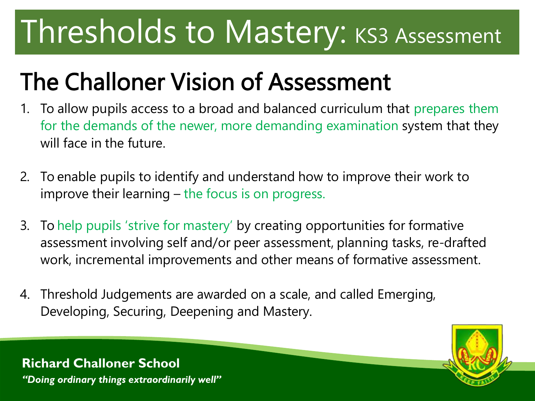# Thresholds to Mastery: KS3 Assessment

### The Challoner Vision of Assessment

- 1. To allow pupils access to a broad and balanced curriculum that prepares them for the demands of the newer, more demanding examination system that they will face in the future.
- 2. To enable pupils to identify and understand how to improve their work to improve their learning – the focus is on progress.
- 3. To help pupils 'strive for mastery' by creating opportunities for formative assessment involving self and/or peer assessment, planning tasks, re-drafted work, incremental improvements and other means of formative assessment.
- 4. Threshold Judgements are awarded on a scale, and called Emerging, Developing, Securing, Deepening and Mastery.



**Richard Challoner School** *"Doing ordinary things extraordinarily well"*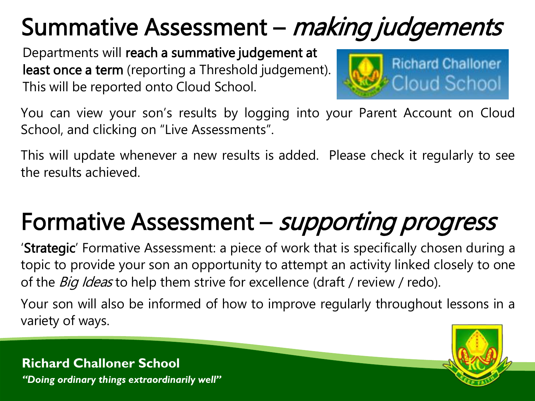## Summative Assessment – making judgements

Departments will reach a summative judgement at least once a term (reporting a Threshold judgement). This will be reported onto Cloud School.



You can view your son's results by logging into your Parent Account on Cloud School, and clicking on "Live Assessments".

This will update whenever a new results is added. Please check it regularly to see the results achieved.

## Formative Assessment – *supporting progress*

'Strategic' Formative Assessment: a piece of work that is specifically chosen during a topic to provide your son an opportunity to attempt an activity linked closely to one of the *Big Ideas* to help them strive for excellence (draft / review / redo).

Your son will also be informed of how to improve regularly throughout lessons in a variety of ways.



**Richard Challoner School** *"Doing ordinary things extraordinarily well"*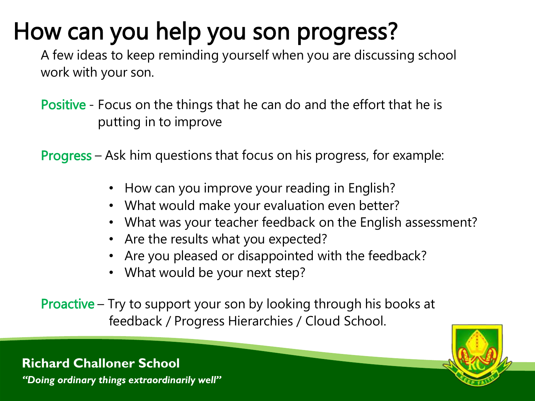### How can you help you son progress?

A few ideas to keep reminding yourself when you are discussing school work with your son.

- Positive Focus on the things that he can do and the effort that he is putting in to improve
- Progress Ask him questions that focus on his progress, for example:
	- How can you improve your reading in English?
	- What would make your evaluation even better?
	- What was your teacher feedback on the English assessment?
	- Are the results what you expected?
	- Are you pleased or disappointed with the feedback?
	- What would be your next step?
- Proactive Try to support your son by looking through his books at feedback / Progress Hierarchies / Cloud School.



#### **Richard Challoner School**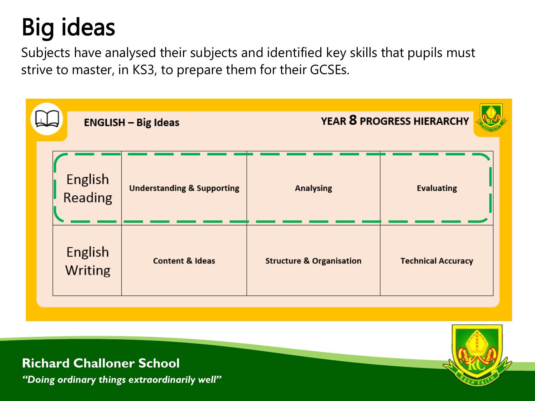## Big ideas

Subjects have analysed their subjects and identified key skills that pupils must strive to master, in KS3, to prepare them for their GCSEs.





**Richard Challoner School**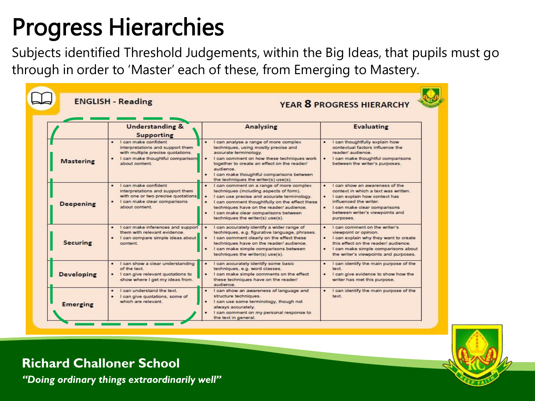## Progress Hierarchies

Subjects identified Threshold Judgements, within the Big Ideas, that pupils must go through in order to 'Master' each of these, from Emerging to Mastery.

|                   | <b>ENGLISH - Reading</b>                                                                                                                                       | <b>YEAR 8 PROGRESS HIERARCHY</b>                                                                                                                                                                                                                                                                                            |                                                                                                                                                                                                                         |  |
|-------------------|----------------------------------------------------------------------------------------------------------------------------------------------------------------|-----------------------------------------------------------------------------------------------------------------------------------------------------------------------------------------------------------------------------------------------------------------------------------------------------------------------------|-------------------------------------------------------------------------------------------------------------------------------------------------------------------------------------------------------------------------|--|
|                   | <b>Understanding &amp;</b><br>Supporting                                                                                                                       | Analysing                                                                                                                                                                                                                                                                                                                   | <b>Evaluating</b>                                                                                                                                                                                                       |  |
| <b>Mastering</b>  | Loan make confident<br>interpretations and support them<br>with multiple precise quotations.<br>I can make thoughtful comparisons<br>about content             | I can analyse a range of more complex<br>techniques, using mostly precise and<br>accurate terminology.<br>I can comment on how these techniques work<br>together to create an effect on the reader/<br>audience<br>· I can make thoughtful comparisons between<br>the techniques the writer(s) use(s).                      | I can thoughtfully explain how<br>contextual factors influence the<br>reader/ audience.<br>I can make thoughtful comparisons<br>between the writer's purposes.                                                          |  |
| <b>Deepening</b>  | I can make confident<br>interpretations and support them<br>with one or two precise quotations.<br>$\bullet$<br>I can make clear comparisons<br>about content. | I can comment on a range of more complex<br>٠<br>techniques (including aspects of form).<br>I can use precise and accurate terminology.<br>٠<br>٠<br>I can comment thoughtfully on the effect these<br>techniques have on the reader/ audience.<br>I can make clear comparisons between<br>techniques the writer(s) use(s). | I can show an awareness of the<br>context in which a text was written.<br>I can explain how context has<br>influenced the writer.<br>٠<br>I can make clear comparisons<br>between writer's viewpoints and<br>purposes.  |  |
| <b>Securing</b>   | I can make inferences and support<br>them with relevant evidence<br>· I can compare simple ideas about<br>content.                                             | I can accurately identify a wider range of<br>techniques, e.g. figurative language, phrases.<br>I can comment clearly on the effect these<br>techniques have on the reader/ audience.<br>I can make simple comparisons between<br>techniques the writer(s) use(s).                                                          | I can comment on the writer's<br>viewpoint or opinion.<br>I can explain why they want to create<br>this effect on the reader/ audience.<br>I can make simple comparisons about<br>the writer's viewpoints and purposes. |  |
| <b>Developing</b> | I can show a clear understanding<br>of the text<br>I can give relevant quotations to<br>show where I get my ideas from.                                        | I can accurately identify some basic<br>$\bullet$<br>techniques, e.g. word classes.<br>٠<br>I can make simple comments on the effect<br>these techniques have on the reader/<br>audience.                                                                                                                                   | I can identify the main purpose of the<br>٠<br>text<br>۰<br>I can give evidence to show how the<br>writer has met this purpose.                                                                                         |  |
| <b>Emerging</b>   | I can understand the text<br>I can give quotations, some of<br>٠<br>which are relevant.                                                                        | I can show an awareness of language and<br>structure techniques.<br>I can use some terminology, though not<br>always accurately.<br>I can comment on my personal response to<br>the text in general.                                                                                                                        | I can identify the main purpose of the<br>text                                                                                                                                                                          |  |



**Richard Challoner School**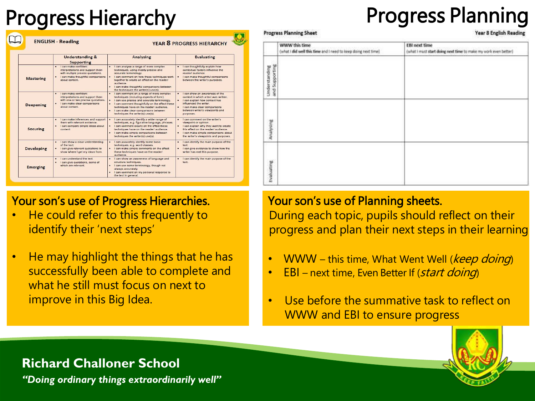#### Progress Hierarchy **Progress Planning**

|                   | <b>ENGLISH - Reading</b>                                                                                                                               | <b>YEAR 8 PROGRESS HIERARCHY</b>                                                                                                                                                                                                                                                                                                      |                                                                                                                                                                                                                                        |  |
|-------------------|--------------------------------------------------------------------------------------------------------------------------------------------------------|---------------------------------------------------------------------------------------------------------------------------------------------------------------------------------------------------------------------------------------------------------------------------------------------------------------------------------------|----------------------------------------------------------------------------------------------------------------------------------------------------------------------------------------------------------------------------------------|--|
|                   | <b>Understanding &amp;</b><br>Supporting                                                                                                               | Analysing                                                                                                                                                                                                                                                                                                                             | <b>Evaluating</b>                                                                                                                                                                                                                      |  |
| <b>Mastering</b>  | I can make confident<br>interpretations and support them<br>with multiple precise quotations.<br>· I can make thoughtful comparisons<br>about content. | I can analyse a range of more complex<br>techniques, using mostly precise and<br>accurate terminology.<br>I can comment on how these techniques work<br>together to create an effect on the reader/<br>audience.<br>I can make thoughtful comparisons between<br>٠<br>the techniques the writer(s) use(s).                            | I can thoughtfully explain how<br>contextual factors influence the<br>reader/ audience<br>. I can make thoughtful comparisons<br>between the writer's purposes.                                                                        |  |
| <b>Deepening</b>  | I can make confident<br>interpretations and support them<br>with one or two precise quotations.<br>· I can make clear comparisons<br>about content     | . I can comment on a range of more complex<br>techniques (including aspects of form).<br>I can use precise and accurate terminology.<br>٠<br>I can comment thoughtfully on the effect these<br>٠<br>techniques have on the reader/ audience.<br>$\bullet$<br>I can make clear comparisons between<br>techniques the writer(s) use(s). | I can show an awareness of the<br>context in which a text was written.<br>. I can explain how context has<br>influenced the writer.<br>· I can make clear comparisons<br>between writer's viewpoints and<br>purposes.                  |  |
| <b>Securing</b>   | I can make inferences and support<br>them with relevant evidence.<br>· I can compare simple ideas about<br>content.                                    | I can accurately identify a wider range of<br>techniques, e.g. figurative language, phrases.<br>. I can comment clearly on the effect these<br>techniques have on the reader/ audience.<br>٠<br>I can make simple comparisons between<br>techniques the writer(s) use(s).                                                             | . Loan comment on the writer's<br>viewpoint or opinion.<br>. I can explain why they want to create<br>this effect on the reader/ audience<br>$\bullet$<br>I can make simple comparisons about<br>the writer's viewpoints and purposes. |  |
| <b>Developing</b> | · I can show a clear understanding<br>of the text.<br>· I can give relevant quotations to<br>show where I get my ideas from.                           | · I can accurately identify some basic<br>techniques, e.g. word classes.<br>. I can make simple comments on the effect<br>these techniques have on the reader/<br>audience                                                                                                                                                            | . I can identify the main purpose of the<br>text.<br>I can give evidence to show how the<br>writer has met this purpose.                                                                                                               |  |
| <b>Emerging</b>   | I can understand the text<br>I can give quotations, some of<br>which are relevant.                                                                     | . I can show an awareness of language and<br>structure techniques.<br>I can use some terminology, though not<br>٠<br>always accurately.<br>. I can comment on my personal response to<br>the text in general.                                                                                                                         | . I can identify the main purpose of the<br>text.                                                                                                                                                                                      |  |

#### Your son's use of Progress Hierarchies.

- He could refer to this frequently to identify their 'next steps'
- He may highlight the things that he has successfully been able to complete and what he still must focus on next to improve in this Big Idea.

#### **Progress Planning Sheet**

Year 8 English Reading

|                                        | WWW this time<br>(what i did well this time and I need to keep doing next time) | <b>EBI next time</b><br>(what I must start doing next time to make my work even better) |
|----------------------------------------|---------------------------------------------------------------------------------|-----------------------------------------------------------------------------------------|
| <b>Understanding</b><br>and Supporting |                                                                                 |                                                                                         |
| Analysing                              |                                                                                 |                                                                                         |
| Evaluating                             |                                                                                 |                                                                                         |

#### Your son's use of Planning sheets.

During each topic, pupils should reflect on their progress and plan their next steps in their learning

- WWW this time, What Went Well (*keep doing*)
- **EBI** next time, Even Better If (*start doing*)
- Use before the summative task to reflect on WWW and EBI to ensure progress



#### **Richard Challoner School**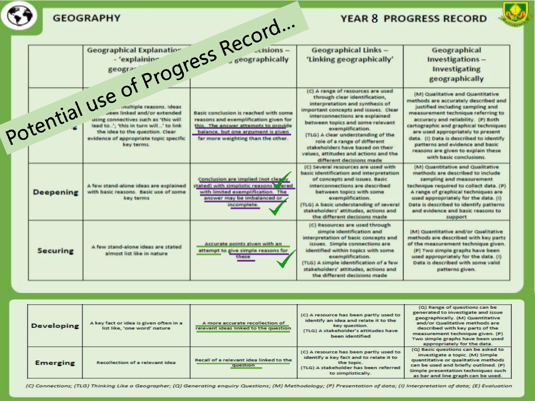|                  |                                                                                             |                                                                                                                                                                   |                                                                                                                                                                                                                                                                                                                                                                                                                         | <b>YEAR 8 PROGRESS RECORD</b>                                                                                                                                                                                                                                                                                                                                                                                         |
|------------------|---------------------------------------------------------------------------------------------|-------------------------------------------------------------------------------------------------------------------------------------------------------------------|-------------------------------------------------------------------------------------------------------------------------------------------------------------------------------------------------------------------------------------------------------------------------------------------------------------------------------------------------------------------------------------------------------------------------|-----------------------------------------------------------------------------------------------------------------------------------------------------------------------------------------------------------------------------------------------------------------------------------------------------------------------------------------------------------------------------------------------------------------------|
|                  |                                                                                             |                                                                                                                                                                   | <b>Geographical Links -</b><br>'Linking geographically'                                                                                                                                                                                                                                                                                                                                                                 | Geographical<br>Investigations-<br>Investigating<br>geographically                                                                                                                                                                                                                                                                                                                                                    |
|                  | Potential use of Progress Record                                                            |                                                                                                                                                                   | (C) A range of resources are used<br>through clear identification,<br>interpretation and synthesis of<br>important concepts and issues. Clear<br>interconnections are explained.<br>between topics and some relevant<br>exemplification.<br>(TLG) A clear understanding of the<br>role of a range of different<br>stakeholders have based on their<br>values, attitudes and actions and the<br>different decisions made | (M) Qualitative and Quantitative<br>methods are accurately described and<br>justified including sampling and<br>measurement technique referring to<br>accuracy and reliability. (P) Both<br>cartographic and graphical techniques<br>are used appropriately to present<br>data. (i) Data is described to identify<br>patterns and evidence and basic<br>reasons are given to explain these<br>with basic conclusions. |
| <b>Deepening</b> | A few stand-alone ideas are explained<br>with basic reasons. Basic use of some<br>key terms | Conclusion are implied (not clearly<br>stated) with simplistic reasons & lered<br>with limited exemplification. The<br>answer may be imbalanced or<br>incomplete. | (C) Several resources are used with<br>basic identification and interpretation<br>of concepts and issues. Basic<br>interconnections are described<br>between topics with some<br>exemplification.<br>(TLG) A basic understanding of several<br>stakeholders' attitudes, actions and<br>the different decisions made                                                                                                     | (M) Quantitative and Qualitative<br>methods are described to include<br>sampling and measurement<br>technique required to collect data. (P)<br>A range of graphical techniques are<br>used appropriately for the data. (i)<br>Data is described to identify patterns<br>and evidence and basic reasons to<br>support                                                                                                  |
| <b>Securing</b>  | A few stand-alone ideas are stated<br>almost list like in nature                            | Accurate points given with an<br>attempt to give simple reasons for<br>these                                                                                      | (C) Resources are used through<br>simple identification and<br>interpretation of basic concepts and<br>issues. Simple connections are<br>identified within topics with some<br>exemplification.<br>(TLG) A simple identification of a few<br>stakeholders' attitudes, actions and<br>the different decisions made                                                                                                       | (M) Quantitative and/or Qualitative<br>methods are described with key parts<br>of the measurement technique given.<br>(P) Two simple graphs have been<br>used appropriately for the data. (i)<br>Data is described with some valid.<br>patterns given.                                                                                                                                                                |

| <b>Developing</b> | A key fact or idea is given often in a<br>list like, 'one word' nature | A more accurate recollection of<br>relevant ideas linked to the question | (C) A resource has been partly used to<br>identify an idea and relate it to the<br>key question.<br>(TLG) A stakeholder's attitudes have<br>been identified    | (Q) Range of questions can be<br>generated to investigate and issue<br>geographically. (M) Quantitative<br>and/or Qualitative methods are<br>described with key parts of the<br>measurement technique given. (P)<br>Two simple graphs have been used<br>appropriately for the data. |
|-------------------|------------------------------------------------------------------------|--------------------------------------------------------------------------|----------------------------------------------------------------------------------------------------------------------------------------------------------------|-------------------------------------------------------------------------------------------------------------------------------------------------------------------------------------------------------------------------------------------------------------------------------------|
| <b>Emerging</b>   | Recollection of a relevant idea                                        | Recall of a relevant idea linked to the<br>question                      | (C) A resource has been partly used to<br>identify a key fact and to relate it to<br>the topic.<br>(TLG) A stakeholder has been referred<br>to simplistically. | (Q) Basic questions can be asked to<br>investigate a topic. (M) Simple<br>quantitative or qualitative methods<br>can be used and briefly outlined. (P)<br>Simple presentation techniques such<br>as bar and line graph can be used.                                                 |

(C) Connections; (TLG) Thinking Like a Geographer; (Q) Generating enquiry Questions; (M) Methodology; (P) Presentation of data; (I) Interpretation of data; (E) Evaluation